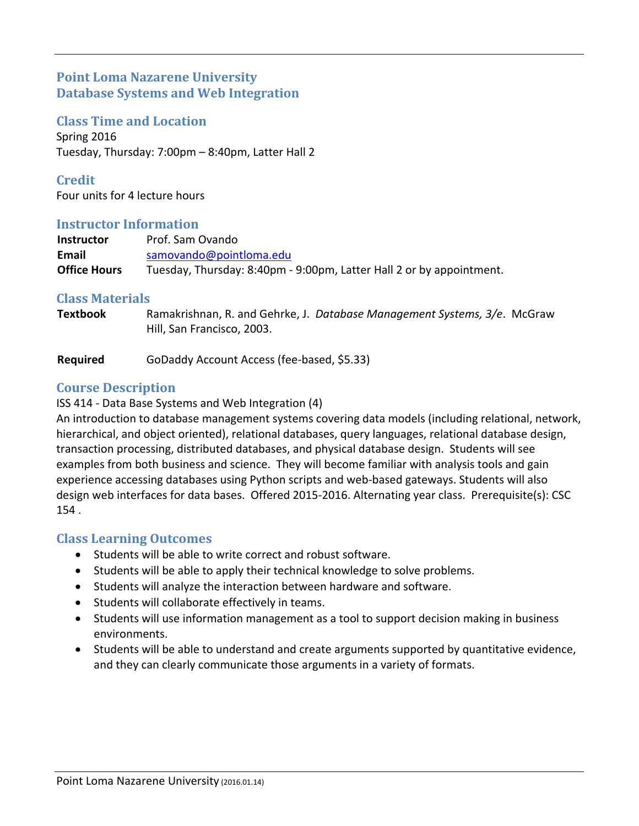# **Point Loma Nazarene University Database Systems and Web Integration**

**Class Time and Location**

Spring 2016 Tuesday, Thursday: 7:00pm – 8:40pm, Latter Hall 2

**Credit** Four units for 4 lecture hours

#### **Instructor Information**

| <b>Instructor</b>   | Prof. Sam Ovando                                                     |
|---------------------|----------------------------------------------------------------------|
| Email               | samovando@pointloma.edu                                              |
| <b>Office Hours</b> | Tuesday, Thursday: 8:40pm - 9:00pm, Latter Hall 2 or by appointment. |

# **Class Materials**

**Textbook** Ramakrishnan, R. and Gehrke, J. *Database Management Systems, 3/e*. McGraw Hill, San Francisco, 2003.

**Required** GoDaddy Account Access (fee-based, \$5.33)

# **Course Description**

ISS 414 ‐ Data Base Systems and Web Integration (4)

An introduction to database management systems covering data models (including relational, network, hierarchical, and object oriented), relational databases, query languages, relational database design, transaction processing, distributed databases, and physical database design. Students will see examples from both business and science. They will become familiar with analysis tools and gain experience accessing databases using Python scripts and web-based gateways. Students will also design web interfaces for data bases. Offered 2015‐2016. Alternating year class. Prerequisite(s): CSC 154 .

#### **Class Learning Outcomes**

- Students will be able to write correct and robust software.
- Students will be able to apply their technical knowledge to solve problems.
- Students will analyze the interaction between hardware and software.
- Students will collaborate effectively in teams.
- Students will use information management as a tool to support decision making in business environments.
- Students will be able to understand and create arguments supported by quantitative evidence, and they can clearly communicate those arguments in a variety of formats.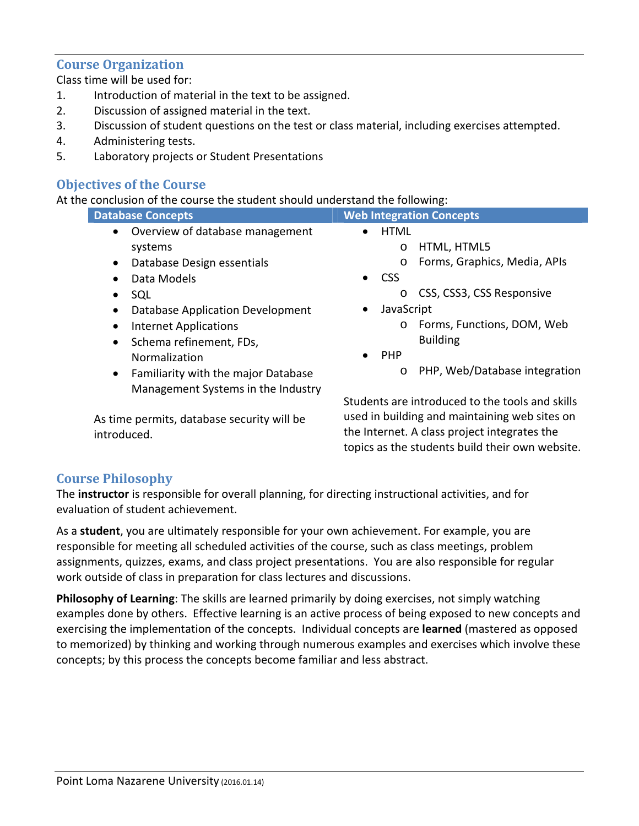#### **Course Organization**

Class time will be used for:

- 1. Introduction of material in the text to be assigned.
- 2. Discussion of assigned material in the text.
- 3. Discussion of student questions on the test or class material, including exercises attempted.
- 4. Administering tests.
- 5. Laboratory projects or Student Presentations

# **Objectives of the Course**

At the conclusion of the course the student should understand the following:

| <b>Database Concepts</b>                                | <b>Web Integration Concepts</b>                 |
|---------------------------------------------------------|-------------------------------------------------|
| Overview of database management<br>$\bullet$            | <b>HTML</b>                                     |
| systems                                                 | HTML, HTML5<br>$\circ$                          |
| Database Design essentials<br>$\bullet$                 | Forms, Graphics, Media, APIs<br>$\circ$         |
| Data Models<br>$\bullet$                                | $\bullet$ CSS                                   |
| SQL<br>$\bullet$                                        | CSS, CSS3, CSS Responsive<br>$\circ$            |
| Database Application Development<br>$\bullet$           | JavaScript<br>$\bullet$                         |
| <b>Internet Applications</b><br>$\bullet$               | Forms, Functions, DOM, Web<br>$\circ$           |
| Schema refinement, FDs,<br>$\bullet$                    | <b>Building</b>                                 |
| Normalization                                           | <b>PHP</b><br>$\bullet$                         |
| <b>Familiarity with the major Database</b><br>$\bullet$ | o PHP, Web/Database integration                 |
| Management Systems in the Industry                      |                                                 |
|                                                         | Students are introduced to the tools and skills |
| As time permits, database security will be              | used in building and maintaining web sites on   |
| introduced.                                             | the Internet. A class project integrates the    |

topics as the students build their own website.

# introduced.

# **Course Philosophy**

The **instructor** is responsible for overall planning, for directing instructional activities, and for evaluation of student achievement.

As a **student**, you are ultimately responsible for your own achievement. For example, you are responsible for meeting all scheduled activities of the course, such as class meetings, problem assignments, quizzes, exams, and class project presentations. You are also responsible for regular work outside of class in preparation for class lectures and discussions.

**Philosophy of Learning**: The skills are learned primarily by doing exercises, not simply watching examples done by others. Effective learning is an active process of being exposed to new concepts and exercising the implementation of the concepts. Individual concepts are **learned** (mastered as opposed to memorized) by thinking and working through numerous examples and exercises which involve these concepts; by this process the concepts become familiar and less abstract.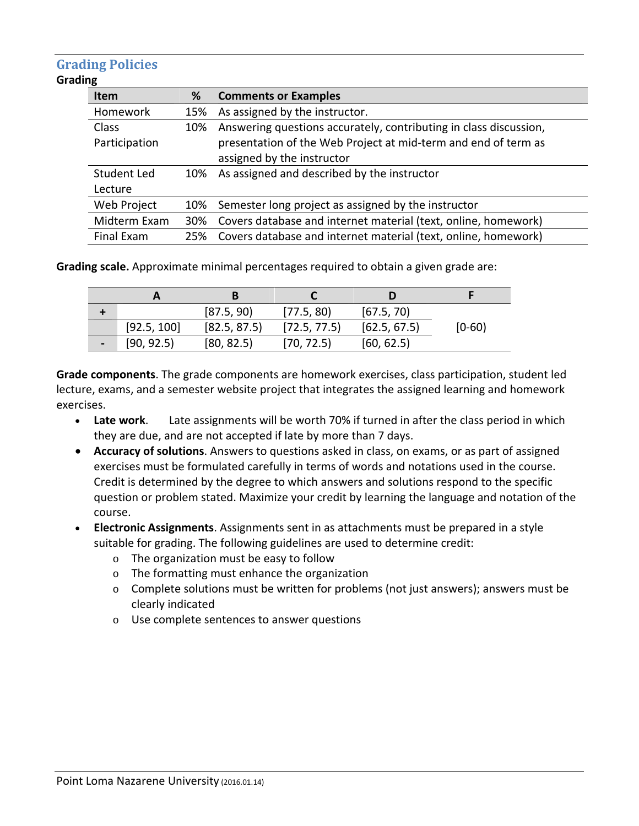# **Grading Policies**

#### **Grading**

| <b>Item</b>   | %   | <b>Comments or Examples</b>                                        |
|---------------|-----|--------------------------------------------------------------------|
| Homework      | 15% | As assigned by the instructor.                                     |
| Class         | 10% | Answering questions accurately, contributing in class discussion,  |
| Participation |     | presentation of the Web Project at mid-term and end of term as     |
|               |     | assigned by the instructor                                         |
| Student Led   | 10% | As assigned and described by the instructor                        |
| Lecture       |     |                                                                    |
| Web Project   | 10% | Semester long project as assigned by the instructor                |
| Midterm Exam  | 30% | Covers database and internet material (text, online, homework)     |
| Final Exam    |     | 25% Covers database and internet material (text, online, homework) |

**Grading scale.** Approximate minimal percentages required to obtain a given grade are:

|                          |             | [87.5, 90]   | [77.5, 80]   | [67.5, 70]   |            |
|--------------------------|-------------|--------------|--------------|--------------|------------|
|                          | [92.5, 100] | [82.5, 87.5] | [72.5, 77.5] | [62.5, 67.5] | $[0 - 60]$ |
| $\overline{\phantom{0}}$ | [90, 92.5]  | [80, 82.5]   | [70, 72.5]   | [60, 62.5]   |            |

**Grade components**. The grade components are homework exercises, class participation, student led lecture, exams, and a semester website project that integrates the assigned learning and homework exercises.

- **Late work**. Late assignments will be worth 70% if turned in after the class period in which they are due, and are not accepted if late by more than 7 days.
- **Accuracy of solutions**. Answers to questions asked in class, on exams, or as part of assigned exercises must be formulated carefully in terms of words and notations used in the course. Credit is determined by the degree to which answers and solutions respond to the specific question or problem stated. Maximize your credit by learning the language and notation of the course.
- **Electronic Assignments**. Assignments sent in as attachments must be prepared in a style suitable for grading. The following guidelines are used to determine credit:
	- o The organization must be easy to follow
	- o The formatting must enhance the organization
	- $\circ$  Complete solutions must be written for problems (not just answers); answers must be clearly indicated
	- o Use complete sentences to answer questions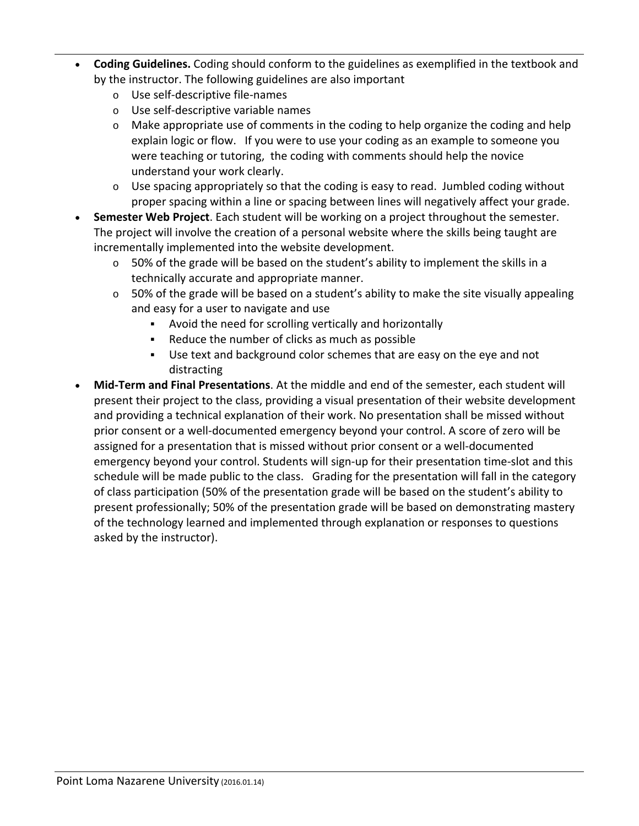- **Coding Guidelines.** Coding should conform to the guidelines as exemplified in the textbook and by the instructor. The following guidelines are also important
	- o Use self‐descriptive file‐names
	- o Use self‐descriptive variable names
	- $\circ$  Make appropriate use of comments in the coding to help organize the coding and help explain logic or flow. If you were to use your coding as an example to someone you were teaching or tutoring, the coding with comments should help the novice understand your work clearly.
	- $\circ$  Use spacing appropriately so that the coding is easy to read. Jumbled coding without proper spacing within a line or spacing between lines will negatively affect your grade.
- **Semester Web Project**. Each student will be working on a project throughout the semester. The project will involve the creation of a personal website where the skills being taught are incrementally implemented into the website development.
	- $\circ$  50% of the grade will be based on the student's ability to implement the skills in a technically accurate and appropriate manner.
	- $\circ$  50% of the grade will be based on a student's ability to make the site visually appealing and easy for a user to navigate and use
		- Avoid the need for scrolling vertically and horizontally
		- Reduce the number of clicks as much as possible
		- Use text and background color schemes that are easy on the eye and not distracting
- **Mid‐Term and Final Presentations**. At the middle and end of the semester, each student will present their project to the class, providing a visual presentation of their website development and providing a technical explanation of their work. No presentation shall be missed without prior consent or a well‐documented emergency beyond your control. A score of zero will be assigned for a presentation that is missed without prior consent or a well‐documented emergency beyond your control. Students will sign-up for their presentation time-slot and this schedule will be made public to the class. Grading for the presentation will fall in the category of class participation (50% of the presentation grade will be based on the student's ability to present professionally; 50% of the presentation grade will be based on demonstrating mastery of the technology learned and implemented through explanation or responses to questions asked by the instructor).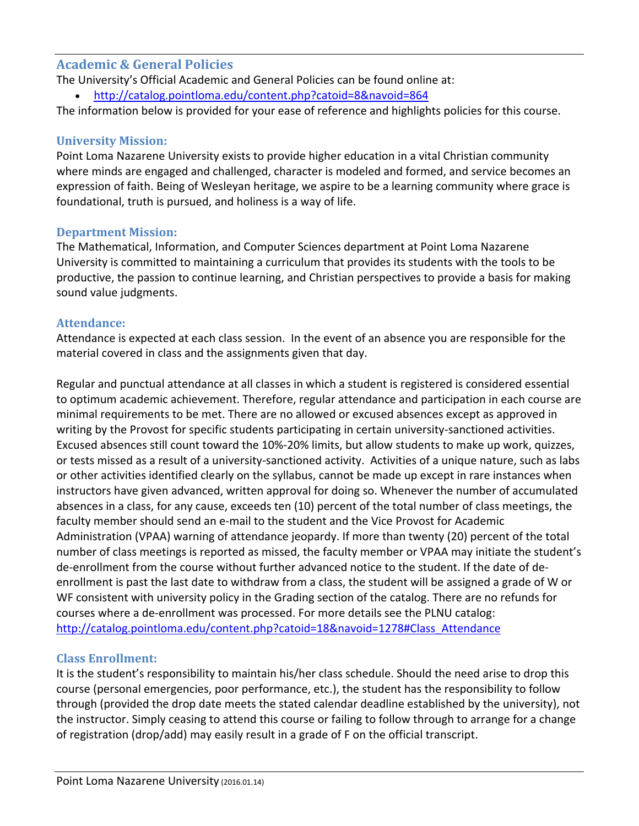#### **Academic & General Policies**

The University's Official Academic and General Policies can be found online at:

http://catalog.pointloma.edu/content.php?catoid=8&navoid=864

The information below is provided for your ease of reference and highlights policies for this course.

#### **University Mission:**

Point Loma Nazarene University exists to provide higher education in a vital Christian community where minds are engaged and challenged, character is modeled and formed, and service becomes an expression of faith. Being of Wesleyan heritage, we aspire to be a learning community where grace is foundational, truth is pursued, and holiness is a way of life.

# **Department Mission:**

The Mathematical, Information, and Computer Sciences department at Point Loma Nazarene University is committed to maintaining a curriculum that provides its students with the tools to be productive, the passion to continue learning, and Christian perspectives to provide a basis for making sound value judgments.

# **Attendance:**

Attendance is expected at each class session. In the event of an absence you are responsible for the material covered in class and the assignments given that day.

Regular and punctual attendance at all classes in which a student is registered is considered essential to optimum academic achievement. Therefore, regular attendance and participation in each course are minimal requirements to be met. There are no allowed or excused absences except as approved in writing by the Provost for specific students participating in certain university‐sanctioned activities. Excused absences still count toward the 10%‐20% limits, but allow students to make up work, quizzes, or tests missed as a result of a university‐sanctioned activity. Activities of a unique nature, such as labs or other activities identified clearly on the syllabus, cannot be made up except in rare instances when instructors have given advanced, written approval for doing so. Whenever the number of accumulated absences in a class, for any cause, exceeds ten (10) percent of the total number of class meetings, the faculty member should send an e‐mail to the student and the Vice Provost for Academic Administration (VPAA) warning of attendance jeopardy. If more than twenty (20) percent of the total number of class meetings is reported as missed, the faculty member or VPAA may initiate the student's de‐enrollment from the course without further advanced notice to the student. If the date of de‐ enrollment is past the last date to withdraw from a class, the student will be assigned a grade of W or WF consistent with university policy in the Grading section of the catalog. There are no refunds for courses where a de‐enrollment was processed. For more details see the PLNU catalog: http://catalog.pointloma.edu/content.php?catoid=18&navoid=1278#Class\_Attendance

# **Class Enrollment:**

It is the student's responsibility to maintain his/her class schedule. Should the need arise to drop this course (personal emergencies, poor performance, etc.), the student has the responsibility to follow through (provided the drop date meets the stated calendar deadline established by the university), not the instructor. Simply ceasing to attend this course or failing to follow through to arrange for a change of registration (drop/add) may easily result in a grade of F on the official transcript.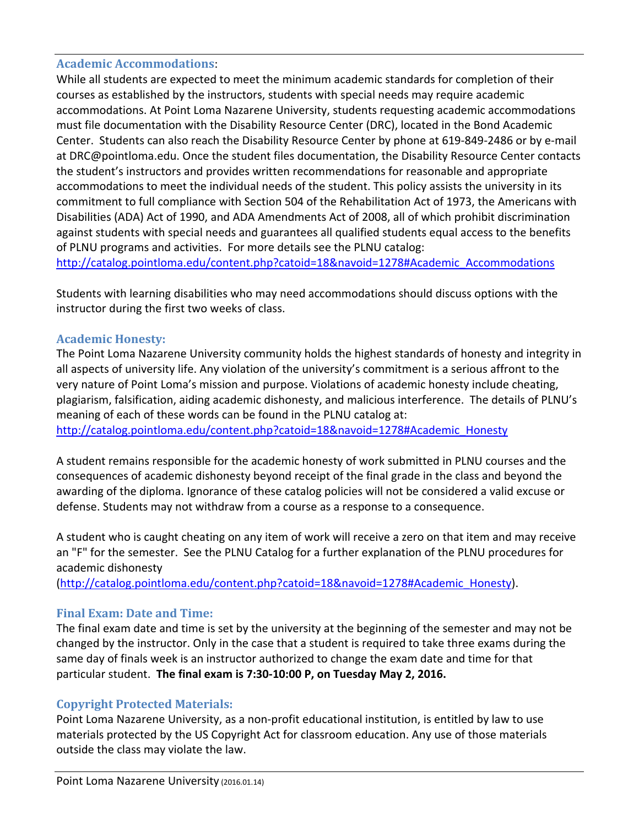#### **Academic Accommodations**:

While all students are expected to meet the minimum academic standards for completion of their courses as established by the instructors, students with special needs may require academic accommodations. At Point Loma Nazarene University, students requesting academic accommodations must file documentation with the Disability Resource Center (DRC), located in the Bond Academic Center. Students can also reach the Disability Resource Center by phone at 619‐849‐2486 or by e‐mail at DRC@pointloma.edu. Once the student files documentation, the Disability Resource Center contacts the student's instructors and provides written recommendations for reasonable and appropriate accommodations to meet the individual needs of the student. This policy assists the university in its commitment to full compliance with Section 504 of the Rehabilitation Act of 1973, the Americans with Disabilities (ADA) Act of 1990, and ADA Amendments Act of 2008, all of which prohibit discrimination against students with special needs and guarantees all qualified students equal access to the benefits of PLNU programs and activities. For more details see the PLNU catalog:

http://catalog.pointloma.edu/content.php?catoid=18&navoid=1278#Academic\_Accommodations

Students with learning disabilities who may need accommodations should discuss options with the instructor during the first two weeks of class.

#### **Academic Honesty:**

The Point Loma Nazarene University community holds the highest standards of honesty and integrity in all aspects of university life. Any violation of the university's commitment is a serious affront to the very nature of Point Loma's mission and purpose. Violations of academic honesty include cheating, plagiarism, falsification, aiding academic dishonesty, and malicious interference. The details of PLNU's meaning of each of these words can be found in the PLNU catalog at: http://catalog.pointloma.edu/content.php?catoid=18&navoid=1278#Academic\_Honesty

A student remains responsible for the academic honesty of work submitted in PLNU courses and the consequences of academic dishonesty beyond receipt of the final grade in the class and beyond the awarding of the diploma. Ignorance of these catalog policies will not be considered a valid excuse or defense. Students may not withdraw from a course as a response to a consequence.

A student who is caught cheating on any item of work will receive a zero on that item and may receive an "F" for the semester. See the PLNU Catalog for a further explanation of the PLNU procedures for academic dishonesty

(http://catalog.pointloma.edu/content.php?catoid=18&navoid=1278#Academic\_Honesty).

#### **Final Exam: Date and Time:**

The final exam date and time is set by the university at the beginning of the semester and may not be changed by the instructor. Only in the case that a student is required to take three exams during the same day of finals week is an instructor authorized to change the exam date and time for that particular student. **The final exam is 7:30‐10:00 P, on Tuesday May 2, 2016.**

#### **Copyright Protected Materials:**

Point Loma Nazarene University, as a non‐profit educational institution, is entitled by law to use materials protected by the US Copyright Act for classroom education. Any use of those materials outside the class may violate the law.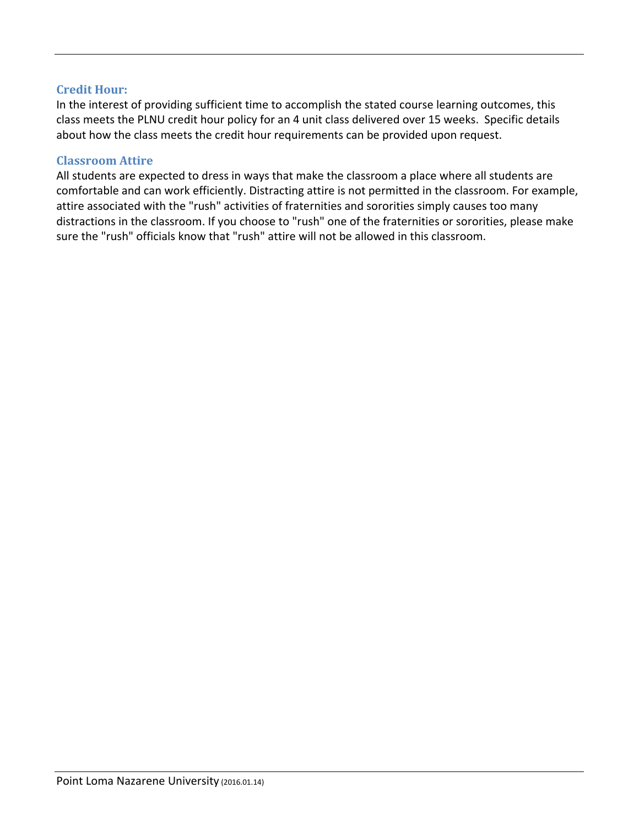#### **Credit Hour:**

In the interest of providing sufficient time to accomplish the stated course learning outcomes, this class meets the PLNU credit hour policy for an 4 unit class delivered over 15 weeks. Specific details about how the class meets the credit hour requirements can be provided upon request.

#### **Classroom Attire**

All students are expected to dress in ways that make the classroom a place where all students are comfortable and can work efficiently. Distracting attire is not permitted in the classroom. For example, attire associated with the "rush" activities of fraternities and sororities simply causes too many distractions in the classroom. If you choose to "rush" one of the fraternities or sororities, please make sure the "rush" officials know that "rush" attire will not be allowed in this classroom.